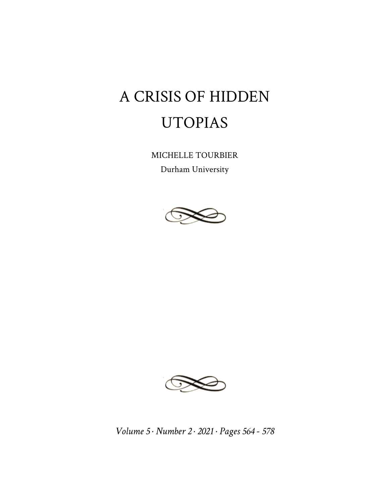## A CRISIS OF HIDDEN UTOPIAS

MICHELLE TOURBIER

Durham University





*Volume 5 · Number 2 · 2021 · Pages 564 - 578*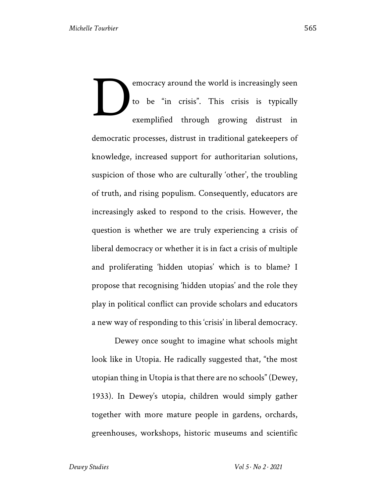emocracy around the world is increasingly seen to be "in crisis". This crisis is typically exemplified through growing distrust in democratic processes, distrust in traditional gatekeepers of knowledge, increased support for authoritarian solutions, suspicion of those who are culturally 'other', the troubling of truth, and rising populism. Consequently, educators are increasingly asked to respond to the crisis. However, the question is whether we are truly experiencing a crisis of liberal democracy or whether it is in fact a crisis of multiple and proliferating 'hidden utopias' which is to blame? I propose that recognising 'hidden utopias' and the role they play in political conflict can provide scholars and educators a new way of responding to this 'crisis' in liberal democracy. D

Dewey once sought to imagine what schools might look like in Utopia. He radically suggested that, "the most utopian thing in Utopia is that there are no schools" (Dewey, 1933). In Dewey's utopia, children would simply gather together with more mature people in gardens, orchards, greenhouses, workshops, historic museums and scientific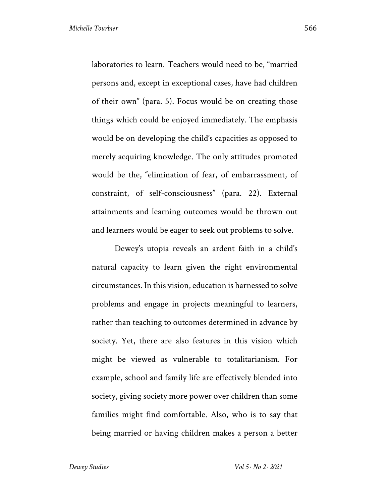laboratories to learn. Teachers would need to be, "married persons and, except in exceptional cases, have had children of their own" (para. 5). Focus would be on creating those things which could be enjoyed immediately. The emphasis would be on developing the child's capacities as opposed to merely acquiring knowledge. The only attitudes promoted would be the, "elimination of fear, of embarrassment, of constraint, of self-consciousness" (para. 22). External attainments and learning outcomes would be thrown out and learners would be eager to seek out problems to solve.

Dewey's utopia reveals an ardent faith in a child's natural capacity to learn given the right environmental circumstances. In this vision, education is harnessed to solve problems and engage in projects meaningful to learners, rather than teaching to outcomes determined in advance by society. Yet, there are also features in this vision which might be viewed as vulnerable to totalitarianism. For example, school and family life are effectively blended into society, giving society more power over children than some families might find comfortable. Also, who is to say that being married or having children makes a person a better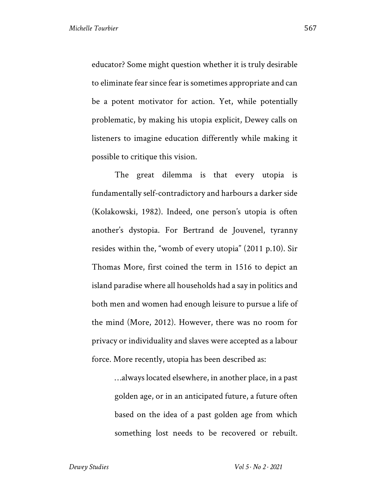educator? Some might question whether it is truly desirable to eliminate fear since fear is sometimes appropriate and can be a potent motivator for action. Yet, while potentially problematic, by making his utopia explicit, Dewey calls on listeners to imagine education differently while making it possible to critique this vision.

The great dilemma is that every utopia is fundamentally self-contradictory and harbours a darker side (Kolakowski, 1982). Indeed, one person's utopia is often another's dystopia. For Bertrand de Jouvenel, tyranny resides within the, "womb of every utopia" (2011 p.10). Sir Thomas More, first coined the term in 1516 to depict an island paradise where all households had a say in politics and both men and women had enough leisure to pursue a life of the mind (More, 2012). However, there was no room for privacy or individuality and slaves were accepted as a labour force. More recently, utopia has been described as:

> …always located elsewhere, in another place, in a past golden age, or in an anticipated future, a future often based on the idea of a past golden age from which something lost needs to be recovered or rebuilt.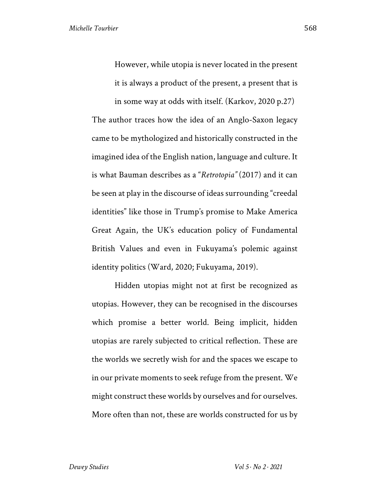However, while utopia is never located in the present it is always a product of the present, a present that is

in some way at odds with itself. (Karkov, 2020 p.27) The author traces how the idea of an Anglo-Saxon legacy came to be mythologized and historically constructed in the imagined idea of the English nation, language and culture. It is what Bauman describes as a "*Retrotopia"* (2017) and it can be seen at play in the discourse of ideas surrounding "creedal identities" like those in Trump's promise to Make America Great Again, the UK's education policy of Fundamental British Values and even in Fukuyama's polemic against identity politics (Ward, 2020; Fukuyama, 2019).

Hidden utopias might not at first be recognized as utopias. However, they can be recognised in the discourses which promise a better world. Being implicit, hidden utopias are rarely subjected to critical reflection. These are the worlds we secretly wish for and the spaces we escape to in our private moments to seek refuge from the present. We might construct these worlds by ourselves and for ourselves. More often than not, these are worlds constructed for us by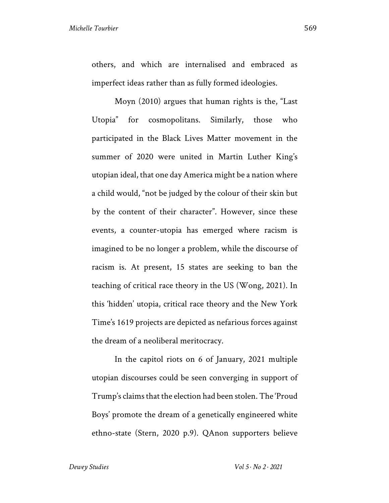others, and which are internalised and embraced as imperfect ideas rather than as fully formed ideologies.

Moyn (2010) argues that human rights is the, "Last Utopia" for cosmopolitans. Similarly, those who participated in the Black Lives Matter movement in the summer of 2020 were united in Martin Luther King's utopian ideal, that one day America might be a nation where a child would, "not be judged by the colour of their skin but by the content of their character". However, since these events, a counter-utopia has emerged where racism is imagined to be no longer a problem, while the discourse of racism is. At present, 15 states are seeking to ban the teaching of critical race theory in the US (Wong, 2021). In this 'hidden' utopia, critical race theory and the New York Time's 1619 projects are depicted as nefarious forces against the dream of a neoliberal meritocracy.

In the capitol riots on 6 of January, 2021 multiple utopian discourses could be seen converging in support of Trump's claims that the election had been stolen. The 'Proud Boys' promote the dream of a genetically engineered white ethno-state (Stern, 2020 p.9). QAnon supporters believe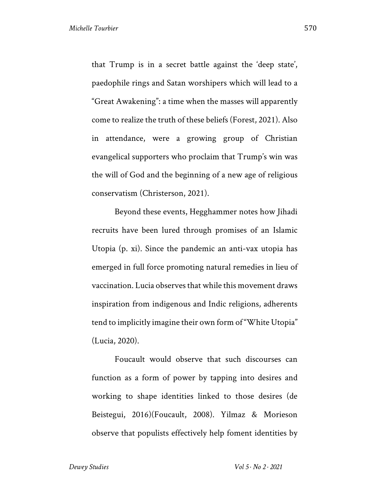that Trump is in a secret battle against the 'deep state', paedophile rings and Satan worshipers which will lead to a "Great Awakening": a time when the masses will apparently come to realize the truth of these beliefs (Forest, 2021). Also in attendance, were a growing group of Christian evangelical supporters who proclaim that Trump's win was the will of God and the beginning of a new age of religious conservatism (Christerson, 2021).

Beyond these events, Hegghammer notes how Jihadi recruits have been lured through promises of an Islamic Utopia (p. xi). Since the pandemic an anti-vax utopia has emerged in full force promoting natural remedies in lieu of vaccination. Lucia observes that while this movement draws inspiration from indigenous and Indic religions, adherents tend to implicitly imagine their own form of "White Utopia" (Lucia, 2020).

Foucault would observe that such discourses can function as a form of power by tapping into desires and working to shape identities linked to those desires (de Beistegui, 2016)(Foucault, 2008). Yilmaz & Morieson observe that populists effectively help foment identities by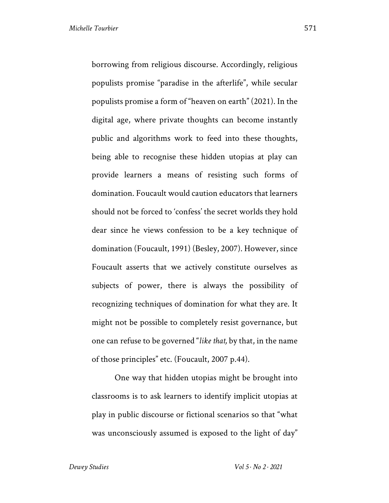borrowing from religious discourse. Accordingly, religious populists promise "paradise in the afterlife", while secular populists promise a form of "heaven on earth" (2021). In the digital age, where private thoughts can become instantly public and algorithms work to feed into these thoughts, being able to recognise these hidden utopias at play can provide learners a means of resisting such forms of domination. Foucault would caution educators that learners should not be forced to 'confess' the secret worlds they hold dear since he views confession to be a key technique of domination (Foucault, 1991) (Besley, 2007). However, since Foucault asserts that we actively constitute ourselves as subjects of power, there is always the possibility of recognizing techniques of domination for what they are. It might not be possible to completely resist governance, but one can refuse to be governed "*like that,* by that, in the name of those principles" etc. (Foucault, 2007 p.44).

One way that hidden utopias might be brought into classrooms is to ask learners to identify implicit utopias at play in public discourse or fictional scenarios so that "what was unconsciously assumed is exposed to the light of day"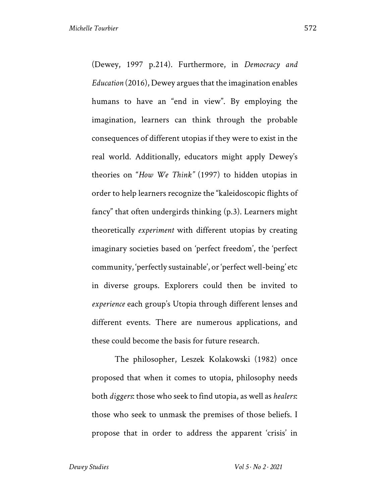(Dewey, 1997 p.214). Furthermore, in *Democracy and Education* (2016), Dewey argues that the imagination enables humans to have an "end in view". By employing the imagination, learners can think through the probable consequences of different utopias if they were to exist in the real world. Additionally, educators might apply Dewey's theories on "*How We Think"* (1997) to hidden utopias in order to help learners recognize the "kaleidoscopic flights of fancy" that often undergirds thinking (p.3). Learners might theoretically *experiment* with different utopias by creating imaginary societies based on 'perfect freedom', the 'perfect community, 'perfectly sustainable', or 'perfect well-being' etc in diverse groups. Explorers could then be invited to *experience* each group's Utopia through different lenses and different events. There are numerous applications, and these could become the basis for future research.

The philosopher, Leszek Kolakowski (1982) once proposed that when it comes to utopia, philosophy needs both *diggers*: those who seek to find utopia, as well as *healers*: those who seek to unmask the premises of those beliefs. I propose that in order to address the apparent 'crisis' in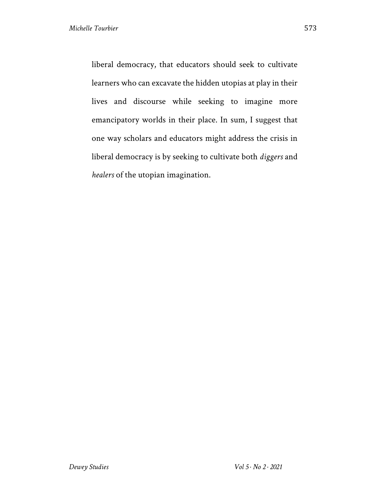liberal democracy, that educators should seek to cultivate learners who can excavate the hidden utopias at play in their lives and discourse while seeking to imagine more emancipatory worlds in their place. In sum, I suggest that one way scholars and educators might address the crisis in liberal democracy is by seeking to cultivate both *diggers* and *healers* of the utopian imagination.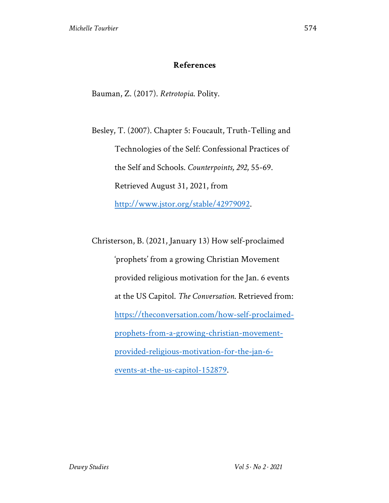## **References**

Bauman, Z. (2017). *Retrotopia*. Polity.

Besley, T. (2007). Chapter 5: Foucault, Truth-Telling and Technologies of the Self: Confessional Practices of the Self and Schools. *Counterpoints, 292*, 55-69. Retrieved August 31, 2021, from http://www.jstor.org/stable/42979092.

Christerson, B. (2021, January 13) How self-proclaimed 'prophets' from a growing Christian Movement provided religious motivation for the Jan. 6 events at the US Capitol. *The Conversation*. Retrieved from: https://theconversation.com/how-self-proclaimedprophets-from-a-growing-christian-movementprovided-religious-motivation-for-the-jan-6 events-at-the-us-capitol-152879.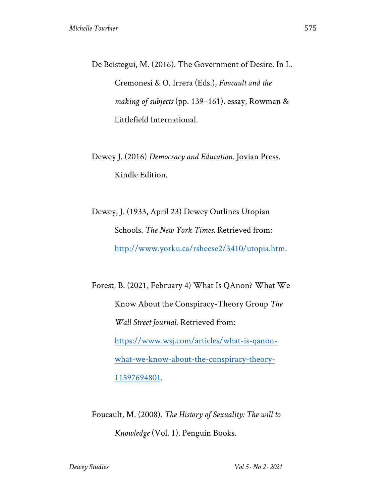De Beistegui, M. (2016). The Government of Desire. In L. Cremonesi & O. Irrera (Eds.), *Foucault and the making of subjects* (pp. 139–161). essay, Rowman & Littlefield International.

Dewey J. (2016) *Democracy and Education*. Jovian Press. Kindle Edition.

Dewey, J. (1933, April 23) Dewey Outlines Utopian Schools. *The New York Times.* Retrieved from: http://www.yorku.ca/rsheese2/3410/utopia.htm.

Forest, B. (2021, February 4) What Is QAnon? What We Know About the Conspiracy-Theory Group *The Wall Street Journal*. Retrieved from: https://www.wsj.com/articles/what-is-qanonwhat-we-know-about-the-conspiracy-theory-11597694801.

Foucault, M. (2008). *The History of Sexuality: The will to Knowledge* (Vol. 1). Penguin Books.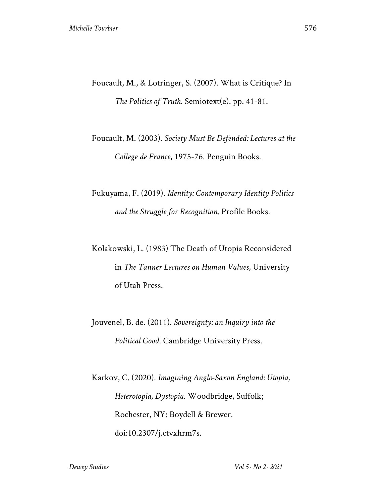- Foucault, M., & Lotringer, S. (2007). What is Critique? In *The Politics of Truth*. Semiotext(e). pp. 41-81.
- Foucault, M. (2003). *Society Must Be Defended: Lectures at the College de France*, 1975-76. Penguin Books.
- Fukuyama, F. (2019). *Identity: Contemporary Identity Politics and the Struggle for Recognition*. Profile Books.
- Kolakowski, L. (1983) The Death of Utopia Reconsidered in *The Tanner Lectures on Human Values*, University of Utah Press.
- Jouvenel, B. de. (2011). *Sovereignty: an Inquiry into the Political Good*. Cambridge University Press.
- Karkov, C. (2020). *Imagining Anglo-Saxon England: Utopia, Heterotopia, Dystopia*. Woodbridge, Suffolk; Rochester, NY: Boydell & Brewer. doi:10.2307/j.ctvxhrm7s.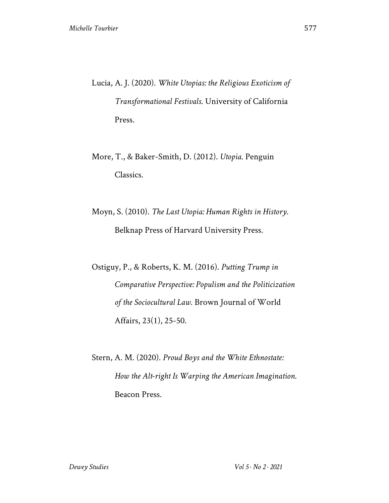- Lucia, A. J. (2020). *White Utopias: the Religious Exoticism of Transformational Festivals*. University of California Press.
- More, T., & Baker-Smith, D. (2012). *Utopia*. Penguin Classics.
- Moyn, S. (2010). *The Last Utopia: Human Rights in History*. Belknap Press of Harvard University Press.

Ostiguy, P., & Roberts, K. M. (2016). *Putting Trump in Comparative Perspective: Populism and the Politicization of the Sociocultural Law*. Brown Journal of World Affairs, 23(1), 25-50.

Stern, A. M. (2020). *Proud Boys and the White Ethnostate: How the Alt-right Is Warping the American Imagination*. Beacon Press.